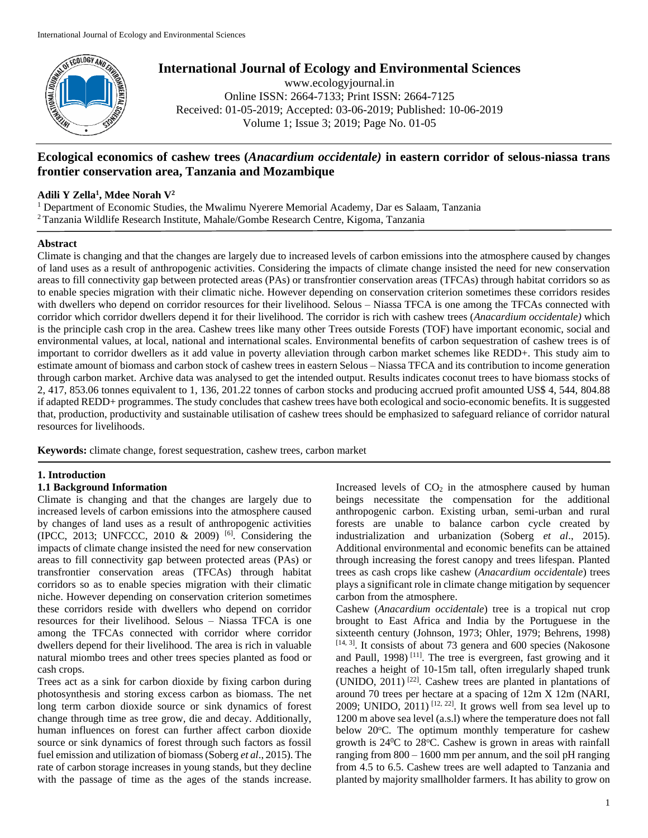

# **International Journal of Ecology and Environmental Sciences**

www.ecologyjournal.in Online ISSN: 2664-7133; Print ISSN: 2664-7125 Received: 01-05-2019; Accepted: 03-06-2019; Published: 10-06-2019 Volume 1; Issue 3; 2019; Page No. 01-05

## **Ecological economics of cashew trees (***Anacardium occidentale)* **in eastern corridor of selous-niassa trans frontier conservation area, Tanzania and Mozambique**

## **Adili Y Zella<sup>1</sup> , Mdee Norah V<sup>2</sup>**

<sup>1</sup> Department of Economic Studies, the Mwalimu Nyerere Memorial Academy, Dar es Salaam, Tanzania <sup>2</sup> Tanzania Wildlife Research Institute, Mahale/Gombe Research Centre, Kigoma, Tanzania

## **Abstract**

Climate is changing and that the changes are largely due to increased levels of carbon emissions into the atmosphere caused by changes of land uses as a result of anthropogenic activities. Considering the impacts of climate change insisted the need for new conservation areas to fill connectivity gap between protected areas (PAs) or transfrontier conservation areas (TFCAs) through habitat corridors so as to enable species migration with their climatic niche. However depending on conservation criterion sometimes these corridors resides with dwellers who depend on corridor resources for their livelihood. Selous – Niassa TFCA is one among the TFCAs connected with corridor which corridor dwellers depend it for their livelihood. The corridor is rich with cashew trees (*Anacardium occidentale)* which is the principle cash crop in the area. Cashew trees like many other Trees outside Forests (TOF) have important economic, social and environmental values, at local, national and international scales. Environmental benefits of carbon sequestration of cashew trees is of important to corridor dwellers as it add value in poverty alleviation through carbon market schemes like REDD+. This study aim to estimate amount of biomass and carbon stock of cashew trees in eastern Selous – Niassa TFCA and its contribution to income generation through carbon market. Archive data was analysed to get the intended output. Results indicates coconut trees to have biomass stocks of 2, 417, 853.06 tonnes equivalent to 1, 136, 201.22 tonnes of carbon stocks and producing accrued profit amounted US\$ 4, 544, 804.88 if adapted REDD+ programmes. The study concludes that cashew trees have both ecological and socio-economic benefits. It is suggested that, production, productivity and sustainable utilisation of cashew trees should be emphasized to safeguard reliance of corridor natural resources for livelihoods.

**Keywords:** climate change, forest sequestration, cashew trees*,* carbon market

## **1. Introduction**

## **1.1 Background Information**

Climate is changing and that the changes are largely due to increased levels of carbon emissions into the atmosphere caused by changes of land uses as a result of anthropogenic activities (IPCC, 2013; UNFCCC, 2010 & 2009)  $[6]$ . Considering the impacts of climate change insisted the need for new conservation areas to fill connectivity gap between protected areas (PAs) or transfrontier conservation areas (TFCAs) through habitat corridors so as to enable species migration with their climatic niche. However depending on conservation criterion sometimes these corridors reside with dwellers who depend on corridor resources for their livelihood. Selous – Niassa TFCA is one among the TFCAs connected with corridor where corridor dwellers depend for their livelihood. The area is rich in valuable natural miombo trees and other trees species planted as food or cash crops.

Trees act as a sink for carbon dioxide by fixing carbon during photosynthesis and storing excess carbon as biomass. The net long term carbon dioxide source or sink dynamics of forest change through time as tree grow, die and decay. Additionally, human influences on forest can further affect carbon dioxide source or sink dynamics of forest through such factors as fossil fuel emission and utilization of biomass (Soberg *et al*., 2015). The rate of carbon storage increases in young stands, but they decline with the passage of time as the ages of the stands increase.

Increased levels of  $CO<sub>2</sub>$  in the atmosphere caused by human beings necessitate the compensation for the additional anthropogenic carbon. Existing urban, semi-urban and rural forests are unable to balance carbon cycle created by industrialization and urbanization (Soberg *et al*., 2015). Additional environmental and economic benefits can be attained through increasing the forest canopy and trees lifespan. Planted trees as cash crops like cashew (*Anacardium occidentale*) trees plays a significant role in climate change mitigation by sequencer carbon from the atmosphere.

Cashew (*Anacardium occidentale*) tree is a tropical nut crop brought to East Africa and India by the Portuguese in the sixteenth century (Johnson, 1973; Ohler, 1979; Behrens, 1998) [14, 3]. It consists of about 73 genera and 600 species (Nakosone and Paull, 1998) <sup>[11]</sup>. The tree is evergreen, fast growing and it reaches a height of 10-15m tall, often irregularly shaped trunk (UNIDO, 2011) [22]. Cashew trees are planted in plantations of around 70 trees per hectare at a spacing of 12m X 12m (NARI, 2009; UNIDO,  $2011$ )<sup>[12, 22]</sup>. It grows well from sea level up to 1200 m above sea level (a.s.l) where the temperature does not fall below 20°C. The optimum monthly temperature for cashew growth is  $24\degree$ C to  $28\degree$ C. Cashew is grown in areas with rainfall ranging from  $800 - 1600$  mm per annum, and the soil pH ranging from 4.5 to 6.5. Cashew trees are well adapted to Tanzania and planted by majority smallholder farmers. It has ability to grow on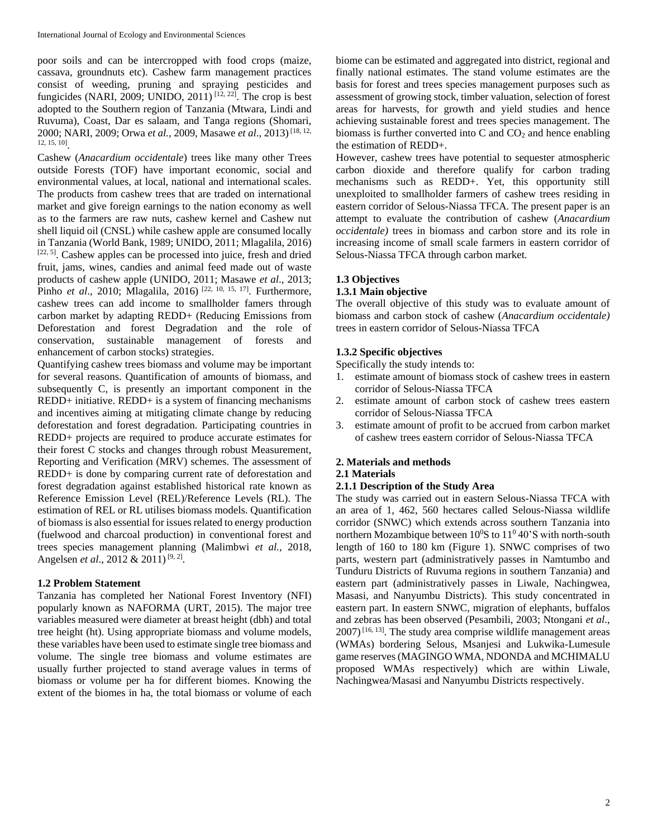poor soils and can be intercropped with food crops (maize, cassava, groundnuts etc). Cashew farm management practices consist of weeding, pruning and spraying pesticides and fungicides (NARI, 2009; UNIDO, 2011)<sup>[12, 22]</sup>. The crop is best adopted to the Southern region of Tanzania (Mtwara, Lindi and Ruvuma), Coast, Dar es salaam, and Tanga regions (Shomari, 2000; NARI, 2009; Orwa et al., 2009, Masawe et al., 2013)<sup>[18, 12,</sup> 12, 15, 10] .

Cashew (*Anacardium occidentale*) trees like many other Trees outside Forests (TOF) have important economic, social and environmental values, at local, national and international scales. The products from cashew trees that are traded on international market and give foreign earnings to the nation economy as well as to the farmers are raw nuts, cashew kernel and Cashew nut shell liquid oil (CNSL) while cashew apple are consumed locally in Tanzania (World Bank, 1989; UNIDO, 2011; Mlagalila, 2016) [22, 5]. Cashew apples can be processed into juice, fresh and dried fruit, jams, wines, candies and animal feed made out of waste products of cashew apple (UNIDO, 2011; Masawe *et al*., 2013; Pinho *et al.*, 2010; Mlagalila, 2016)<sup>[22, 10, 15, 17]. Furthermore,</sup> cashew trees can add income to smallholder famers through carbon market by adapting REDD+ (Reducing Emissions from Deforestation and forest Degradation and the role of conservation, sustainable management of forests and enhancement of carbon stocks) strategies.

Quantifying cashew trees biomass and volume may be important for several reasons. Quantification of amounts of biomass, and subsequently C, is presently an important component in the REDD+ initiative. REDD+ is a system of financing mechanisms and incentives aiming at mitigating climate change by reducing deforestation and forest degradation. Participating countries in REDD+ projects are required to produce accurate estimates for their forest C stocks and changes through robust Measurement, Reporting and Verification (MRV) schemes. The assessment of REDD+ is done by comparing current rate of deforestation and forest degradation against established historical rate known as Reference Emission Level (REL)/Reference Levels (RL). The estimation of REL or RL utilises biomass models. Quantification of biomass is also essential for issues related to energy production (fuelwood and charcoal production) in conventional forest and trees species management planning (Malimbwi *et al.,* 2018, Angelsen *et al.*, 2012 & 2011)<sup>[9, 2]</sup>.

## **1.2 Problem Statement**

Tanzania has completed her National Forest Inventory (NFI) popularly known as NAFORMA (URT, 2015). The major tree variables measured were diameter at breast height (dbh) and total tree height (ht). Using appropriate biomass and volume models, these variables have been used to estimate single tree biomass and volume. The single tree biomass and volume estimates are usually further projected to stand average values in terms of biomass or volume per ha for different biomes. Knowing the extent of the biomes in ha, the total biomass or volume of each biome can be estimated and aggregated into district, regional and finally national estimates. The stand volume estimates are the basis for forest and trees species management purposes such as assessment of growing stock, timber valuation, selection of forest areas for harvests, for growth and yield studies and hence achieving sustainable forest and trees species management. The biomass is further converted into  $C$  and  $CO<sub>2</sub>$  and hence enabling the estimation of REDD+.

However, cashew trees have potential to sequester atmospheric carbon dioxide and therefore qualify for carbon trading mechanisms such as REDD+. Yet, this opportunity still unexploited to smallholder farmers of cashew trees residing in eastern corridor of Selous-Niassa TFCA. The present paper is an attempt to evaluate the contribution of cashew (*Anacardium occidentale)* trees in biomass and carbon store and its role in increasing income of small scale farmers in eastern corridor of Selous-Niassa TFCA through carbon market.

## **1.3 Objectives**

## **1.3.1 Main objective**

The overall objective of this study was to evaluate amount of biomass and carbon stock of cashew (*Anacardium occidentale)* trees in eastern corridor of Selous-Niassa TFCA

## **1.3.2 Specific objectives**

Specifically the study intends to:

- 1. estimate amount of biomass stock of cashew trees in eastern corridor of Selous-Niassa TFCA
- 2. estimate amount of carbon stock of cashew trees eastern corridor of Selous-Niassa TFCA
- 3. estimate amount of profit to be accrued from carbon market of cashew trees eastern corridor of Selous-Niassa TFCA

## **2. Materials and methods**

#### **2.1 Materials**

#### **2.1.1 Description of the Study Area**

The study was carried out in eastern Selous-Niassa TFCA with an area of 1, 462, 560 hectares called Selous-Niassa wildlife corridor (SNWC) which extends across southern Tanzania into northern Mozambique between  $10^0$ S to  $11^0$  40'S with north-south length of 160 to 180 km (Figure 1). SNWC comprises of two parts, western part (administratively passes in Namtumbo and Tunduru Districts of Ruvuma regions in southern Tanzania) and eastern part (administratively passes in Liwale, Nachingwea, Masasi, and Nanyumbu Districts). This study concentrated in eastern part. In eastern SNWC, migration of elephants, buffalos and zebras has been observed (Pesambili, 2003; Ntongani *et al*.,  $2007$ )<sup>[16, 13]</sup>. The study area comprise wildlife management areas (WMAs) bordering Selous, Msanjesi and Lukwika-Lumesule game reserves (MAGINGO WMA, NDONDA and MCHIMALU proposed WMAs respectively) which are within Liwale, Nachingwea/Masasi and Nanyumbu Districts respectively.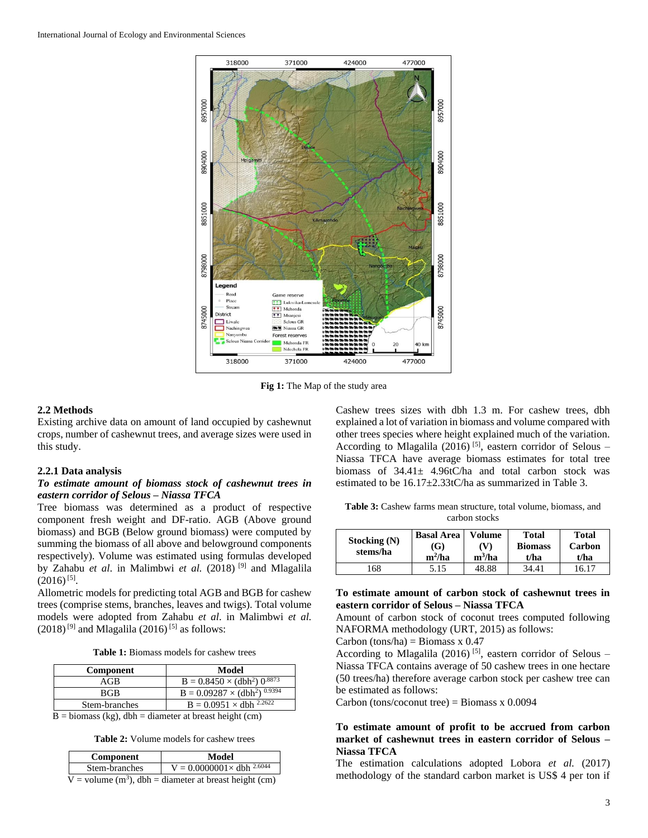

**Fig 1:** The Map of the study area

#### **2.2 Methods**

Existing archive data on amount of land occupied by cashewnut crops, number of cashewnut trees, and average sizes were used in this study.

#### **2.2.1 Data analysis**

## *To estimate amount of biomass stock of cashewnut trees in eastern corridor of Selous – Niassa TFCA*

Tree biomass was determined as a product of respective component fresh weight and DF-ratio. AGB (Above ground biomass) and BGB (Below ground biomass) were computed by summing the biomass of all above and belowground components respectively). Volume was estimated using formulas developed by Zahabu *et al*. in Malimbwi *et al.* (2018) [9] and Mlagalila  $(2016)^{[5]}$ .

Allometric models for predicting total AGB and BGB for cashew trees (comprise stems, branches, leaves and twigs). Total volume models were adopted from Zahabu *et al*. in Malimbwi *et al.*  $(2018)^{9}$  and Mlagalila (2016)<sup>[5]</sup> as follows:

**Table 1:** Biomass models for cashew trees

| <b>Component</b> | Model                                     |
|------------------|-------------------------------------------|
| AGB              | $B = 0.8450 \times (dbh^2) 0.8873$        |
| <b>BGB</b>       | $B = 0.09287 \times (dbh^2)^{0.9394}$     |
| Stem-branches    | $B = 0.0951 \times$ dbh <sup>2.2622</sup> |

 $\overline{B}$  = biomass (kg), dbh = diameter at breast height (cm)

**Table 2:** Volume models for cashew trees

| Component                                                 | Model                               |  |
|-----------------------------------------------------------|-------------------------------------|--|
| Stem-branches                                             | $V = 0.0000001 \times$ dbh $2.6044$ |  |
| V = volume $(m^3)$ , dbh = diameter at breast height (cm) |                                     |  |

Cashew trees sizes with dbh 1.3 m. For cashew trees, dbh explained a lot of variation in biomass and volume compared with other trees species where height explained much of the variation. According to Mlagalila (2016)<sup>[5]</sup>, eastern corridor of Selous  $-$ Niassa TFCA have average biomass estimates for total tree biomass of  $34.41 \pm 4.96$ tC/ha and total carbon stock was estimated to be 16.17±2.33tC/ha as summarized in Table 3.

**Table 3:** Cashew farms mean structure, total volume, biomass, and carbon stocks

| Stocking (N)<br>stems/ha | <b>Basal Area</b><br>(G)<br>$m^2/ha$ | <b>Volume</b><br>(V<br>$m^3/ha$ | <b>Total</b><br><b>Biomass</b><br>t/ha | <b>Total</b><br>Carbon<br>t/ha |
|--------------------------|--------------------------------------|---------------------------------|----------------------------------------|--------------------------------|
| .68                      | 5.15                                 | 48.88                           | 34.41                                  | 16.17                          |

## **To estimate amount of carbon stock of cashewnut trees in eastern corridor of Selous – Niassa TFCA**

Amount of carbon stock of coconut trees computed following NAFORMA methodology (URT, 2015) as follows:

Carbon (tons/ha) = Biomass  $x$  0.47

According to Mlagalila (2016)<sup>[5]</sup>, eastern corridor of Selous – Niassa TFCA contains average of 50 cashew trees in one hectare (50 trees/ha) therefore average carbon stock per cashew tree can be estimated as follows:

Carbon (tons/coconut tree) = Biomass  $x$  0.0094

## **To estimate amount of profit to be accrued from carbon market of cashewnut trees in eastern corridor of Selous – Niassa TFCA**

The estimation calculations adopted Lobora *et al.* (2017) methodology of the standard carbon market is US\$ 4 per ton if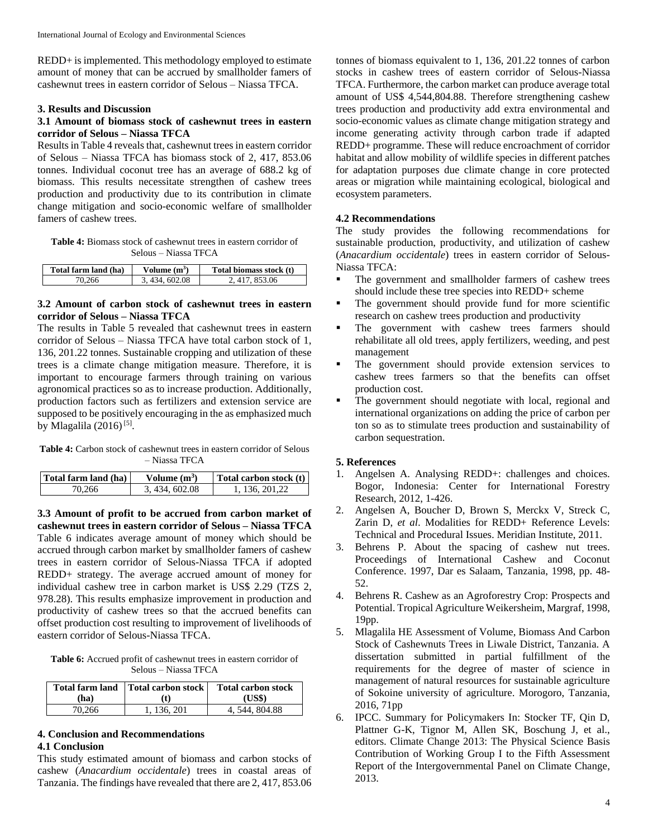REDD+ is implemented. This methodology employed to estimate amount of money that can be accrued by smallholder famers of cashewnut trees in eastern corridor of Selous – Niassa TFCA.

#### **3. Results and Discussion**

## **3.1 Amount of biomass stock of cashewnut trees in eastern corridor of Selous – Niassa TFCA**

Results in Table 4 reveals that, cashewnut trees in eastern corridor of Selous – Niassa TFCA has biomass stock of 2, 417, 853.06 tonnes. Individual coconut tree has an average of 688.2 kg of biomass. This results necessitate strengthen of cashew trees production and productivity due to its contribution in climate change mitigation and socio-economic welfare of smallholder famers of cashew trees.

**Table 4:** Biomass stock of cashewnut trees in eastern corridor of Selous – Niassa TFCA

| Total farm land (ha) | Volume $(m^3)$ | Total biomass stock (t) |
|----------------------|----------------|-------------------------|
| 70.266               | 3.434.602.08   | 2.417.853.06            |

## **3.2 Amount of carbon stock of cashewnut trees in eastern corridor of Selous – Niassa TFCA**

The results in Table 5 revealed that cashewnut trees in eastern corridor of Selous – Niassa TFCA have total carbon stock of 1, 136, 201.22 tonnes. Sustainable cropping and utilization of these trees is a climate change mitigation measure. Therefore, it is important to encourage farmers through training on various agronomical practices so as to increase production. Additionally, production factors such as fertilizers and extension service are supposed to be positively encouraging in the as emphasized much by Mlagalila (2016)<sup>[5]</sup>.

Table 4: Carbon stock of cashewnut trees in eastern corridor of Selous – Niassa TFCA

| Total farm land (ha) | Volume $(m^3)$ | Total carbon stock (t) |
|----------------------|----------------|------------------------|
| 70.266               | 3.434,602.08   | 1, 136, 201, 22        |

**3.3 Amount of profit to be accrued from carbon market of cashewnut trees in eastern corridor of Selous – Niassa TFCA** Table 6 indicates average amount of money which should be accrued through carbon market by smallholder famers of cashew trees in eastern corridor of Selous-Niassa TFCA if adopted REDD+ strategy. The average accrued amount of money for individual cashew tree in carbon market is US\$ 2.29 (TZS 2, 978.28). This results emphasize improvement in production and productivity of cashew trees so that the accrued benefits can offset production cost resulting to improvement of livelihoods of eastern corridor of Selous-Niassa TFCA.

**Table 6:** Accrued profit of cashewnut trees in eastern corridor of Selous – Niassa TFCA

| (ha)   | Total farm land   Total carbon stock  <br>(t) | <b>Total carbon stock</b><br>(US\$) |
|--------|-----------------------------------------------|-------------------------------------|
| 70.266 | 1, 136, 201                                   | 4, 544, 804.88                      |

#### **4. Conclusion and Recommendations 4.1 Conclusion**

This study estimated amount of biomass and carbon stocks of cashew (*Anacardium occidentale*) trees in coastal areas of Tanzania. The findings have revealed that there are 2, 417, 853.06 tonnes of biomass equivalent to 1, 136, 201.22 tonnes of carbon stocks in cashew trees of eastern corridor of Selous-Niassa TFCA. Furthermore, the carbon market can produce average total amount of US\$ 4,544,804.88. Therefore strengthening cashew trees production and productivity add extra environmental and socio-economic values as climate change mitigation strategy and income generating activity through carbon trade if adapted REDD+ programme. These will reduce encroachment of corridor habitat and allow mobility of wildlife species in different patches for adaptation purposes due climate change in core protected areas or migration while maintaining ecological, biological and ecosystem parameters.

## **4.2 Recommendations**

The study provides the following recommendations for sustainable production, productivity, and utilization of cashew (*Anacardium occidentale*) trees in eastern corridor of Selous-Niassa TFCA:

- The government and smallholder farmers of cashew trees should include these tree species into REDD+ scheme
- The government should provide fund for more scientific research on cashew trees production and productivity
- The government with cashew trees farmers should rehabilitate all old trees, apply fertilizers, weeding, and pest management
- The government should provide extension services to cashew trees farmers so that the benefits can offset production cost.
- The government should negotiate with local, regional and international organizations on adding the price of carbon per ton so as to stimulate trees production and sustainability of carbon sequestration.

## **5. References**

- 1. Angelsen A. Analysing REDD+: challenges and choices. Bogor, Indonesia: Center for International Forestry Research, 2012, 1-426.
- 2. Angelsen A, Boucher D, Brown S, Merckx V, Streck C, Zarin D, *et al*. Modalities for REDD+ Reference Levels: Technical and Procedural Issues. Meridian Institute, 2011.
- 3. Behrens P. About the spacing of cashew nut trees. Proceedings of International Cashew and Coconut Conference. 1997, Dar es Salaam, Tanzania, 1998, pp. 48- 52.
- 4. Behrens R. Cashew as an Agroforestry Crop: Prospects and Potential. Tropical Agriculture Weikersheim, Margraf, 1998, 19pp.
- 5. Mlagalila HE Assessment of Volume, Biomass And Carbon Stock of Cashewnuts Trees in Liwale District, Tanzania. A dissertation submitted in partial fulfillment of the requirements for the degree of master of science in management of natural resources for sustainable agriculture of Sokoine university of agriculture. Morogoro, Tanzania, 2016, 71pp
- 6. IPCC. Summary for Policymakers In: Stocker TF, Qin D, Plattner G-K, Tignor M, Allen SK, Boschung J, et al., editors. Climate Change 2013: The Physical Science Basis Contribution of Working Group I to the Fifth Assessment Report of the Intergovernmental Panel on Climate Change, 2013.